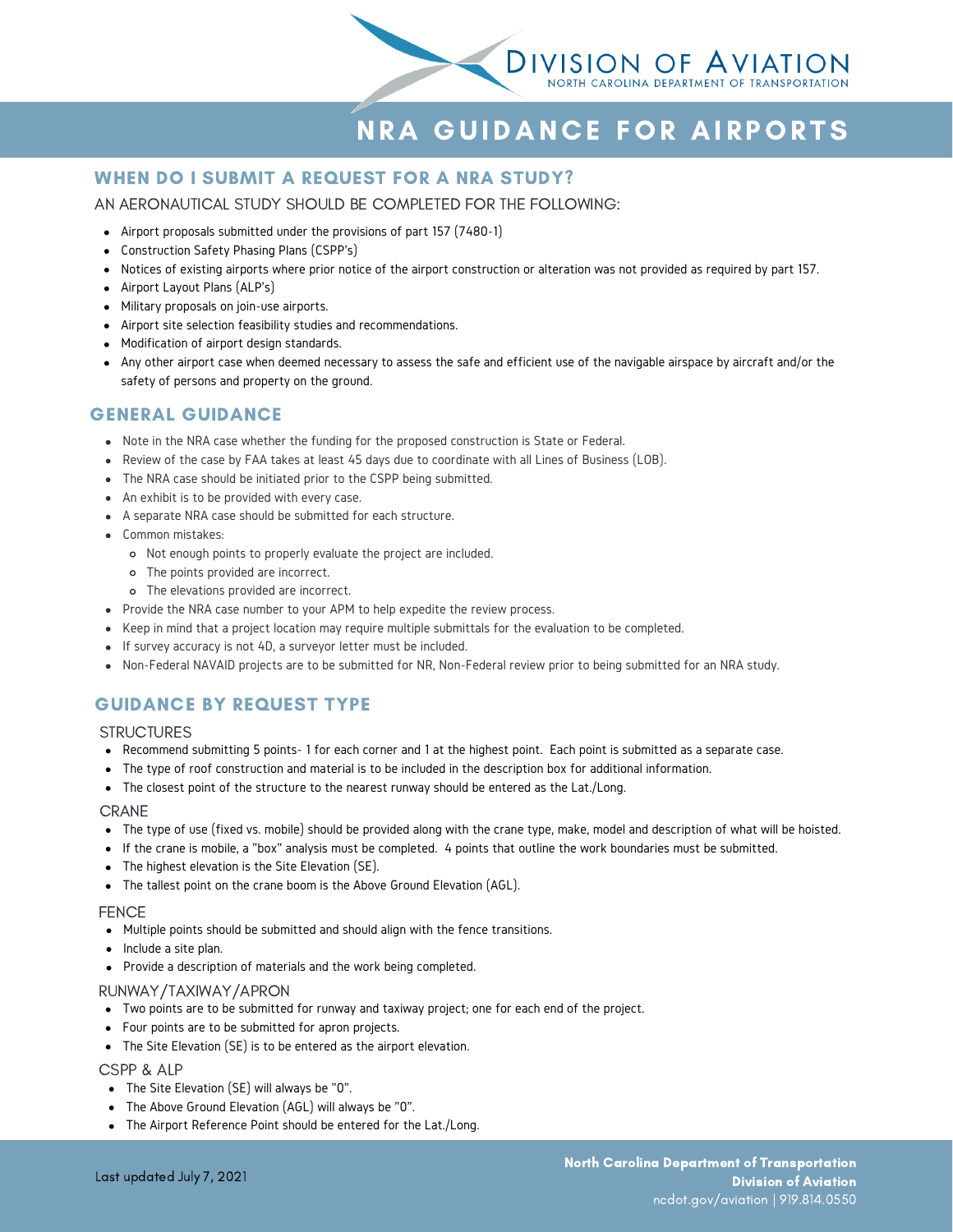

# NRA GUIDANCE FOR AIRPORTS

# WHEN DO I SUBMIT A REQUEST FOR A NRA STUDY?

## AN AERONAUTICAL STUDY SHOULD BE COMPLETED FOR THE FOLLOWING:

- Airport proposals submitted under the provisions of part 157 (7480-1)
- Construction Safety Phasing Plans (CSPP's)
- Notices of existing airports where prior notice of the airport construction or alteration was not provided as required by part 157.
- Airport Layout Plans (ALP's)
- Military proposals on join-use airports.
- Airport site selection feasibility studies and recommendations.
- Modification of airport design standards.
- Any other airport case when deemed necessary to assess the safe and efficient use of the navigable airspace by aircraft and/or the safety of persons and property on the ground.

## GENERAL GUIDANCE

- Note in the NRA case whether the funding for the proposed construction is State or Federal.
- Review of the case by FAA takes at least 45 days due to coordinate with all Lines of Business (LOB).
- The NRA case should be initiated prior to the CSPP being submitted.
- An exhibit is to be provided with every case.
- A separate NRA case should be submitted for each structure.
- Common mistakes:
	- Not enough points to properly evaluate the project are included.
	- The points provided are incorrect.
	- The elevations provided are incorrect.
- Provide the NRA case number to your APM to help expedite the review process.
- Keep in mind that a project location may require multiple submittals for the evaluation to be completed.
- If survey accuracy is not 4D, a surveyor letter must be included.
- Non-Federal NAVAID projects are to be submitted for NR, Non-Federal review prior to being submitted for an NRA study.

## GUIDANCE BY REQUEST TYPE

### **STRUCTURES**

- Recommend submitting 5 points- 1 for each corner and 1 at the highest point. Each point is submitted as a separate case.
- The type of roof construction and material is to be included in the description box for additional information.
- The closest point of the structure to the nearest runway should be entered as the Lat./Long.

#### CRANE

- The type of use (fixed vs. mobile) should be provided along with the crane type, make, model and description of what will be hoisted.
- If the crane is mobile, a "box" analysis must be completed. 4 points that outline the work boundaries must be submitted.
- The highest elevation is the Site Elevation (SE).
- The tallest point on the crane boom is the Above Ground Elevation (AGL).

#### **FENCE**

- Multiple points should be submitted and should align with the fence transitions.
- Include a site plan.
- Provide a description of materials and the work being completed.

#### RUNWAY/TAXIWAY/APRON

- Two points are to be submitted for runway and taxiway project; one for each end of the project.
- Four points are to be submitted for apron projects.
- The Site Elevation (SE) is to be entered as the airport elevation.

#### CSPP & ALP

- The Site Elevation (SE) will always be "0".
- The Above Ground Elevation (AGL) will always be "0".
- The Airport Reference Point should be entered for the Lat./Long.